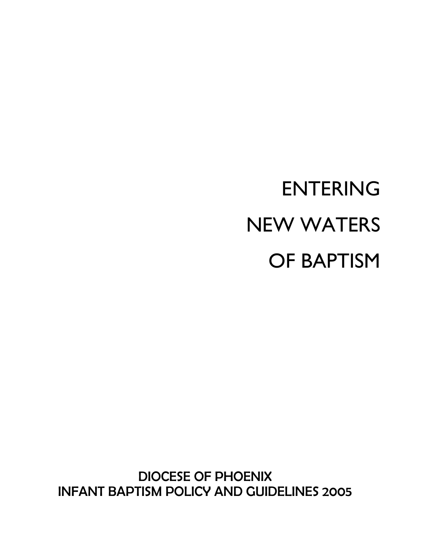DIOCESE OF PHOENIX INFANT BAPTISM POLICY AND GUIDELINES 2005

# ENTERING NEW WATERS OF BAPTISM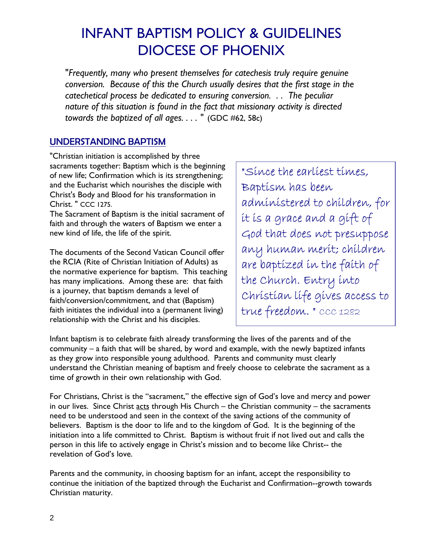### INFANT BAPTISM POLICY & GUIDELINES DIOCESE OF PHOENIX

"*Frequently, many who present themselves for catechesis truly require genuine conversion. Because of this the Church usually desires that the first stage in the catechetical process be dedicated to ensuring conversion. . . The peculiar nature of this situation is found in the fact that missionary activity is directed towards the baptized of all ages. . . . "* (GDC #62, 58c)

#### UNDERSTANDING BAPTISM

"Christian initiation is accomplished by three sacraments together: Baptism which is the beginning of new life; Confirmation which is its strengthening; and the Eucharist which nourishes the disciple with Christ's Body and Blood for his transformation in Christ. " CCC 1275.

The Sacrament of Baptism is the initial sacrament of faith and through the waters of Baptism we enter a new kind of life, the life of the spirit.

The documents of the Second Vatican Council offer the RCIA (Rite of Christian Initiation of Adults) as the normative experience for baptism. This teaching has many implications. Among these are: that faith is a journey, that baptism demands a level of faith/conversion/commitment, and that (Baptism) faith initiates the individual into a (permanent living) relationship with the Christ and his disciples.

"Since the earliest times, Baptism has been administered to children, for it is a grace and a gift of God that does not presuppose any human merit; children are baptized in the faith of the Church. Entry into Christian life gives access to true freedom. " CCC 1282

Infant baptism is to celebrate faith already transforming the lives of the parents and of the community – a faith that will be shared, by word and example, with the newly baptized infants as they grow into responsible young adulthood. Parents and community must clearly understand the Christian meaning of baptism and freely choose to celebrate the sacrament as a time of growth in their own relationship with God.

For Christians, Christ is the "sacrament," the effective sign of God's love and mercy and power in our lives. Since Christ  $\frac{2}{3}$  acts through His Church – the Christian community – the sacraments need to be understood and seen in the context of the saving actions of the community of believers. Baptism is the door to life and to the kingdom of God. It is the beginning of the initiation into a life committed to Christ. Baptism is without fruit if not lived out and calls the person in this life to actively engage in Christ's mission and to become like Christ-- the revelation of God's love.

Parents and the community, in choosing baptism for an infant, accept the responsibility to continue the initiation of the baptized through the Eucharist and Confirmation--growth towards Christian maturity.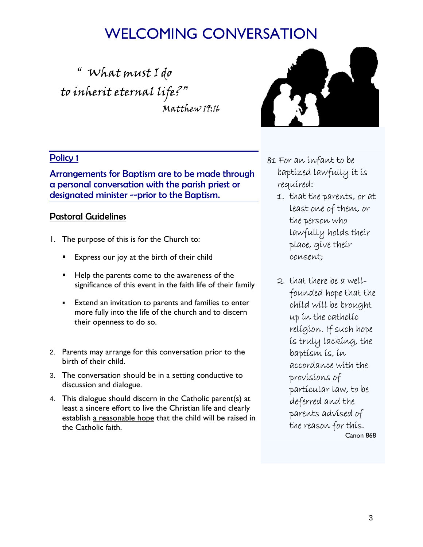### WELCOMING CONVERSATION

" What must I do to inherit eternal life?" Matthew 19:16



#### Policy 1

Arrangements for Baptism are to be made through a personal conversation with the parish priest or designated minister --prior to the Baptism.

#### Pastoral Guidelines

- 1. The purpose of this is for the Church to:
	- Express our joy at the birth of their child
	- Help the parents come to the awareness of the significance of this event in the faith life of their family
	- Extend an invitation to parents and families to enter more fully into the life of the church and to discern their openness to do so.
- 2. Parents may arrange for this conversation prior to the birth of their child.
- 3. The conversation should be in a setting conductive to discussion and dialogue.
- 4. This dialogue should discern in the Catholic parent(s) at least a sincere effort to live the Christian life and clearly establish a reasonable hope that the child will be raised in the Catholic faith.
- §1 For an infant to be baptized lawfully it is required:
	- 1. that the parents, or at least one of them, or the person who lawfully holds their place, give their consent;
	- 2. that there be a wellfounded hope that the child will be brought up in the catholic religion. If such hope is truly lacking, the baptism is, in accordance with the provisions of particular law, to be deferred and the parents advised of the reason for this. Canon 868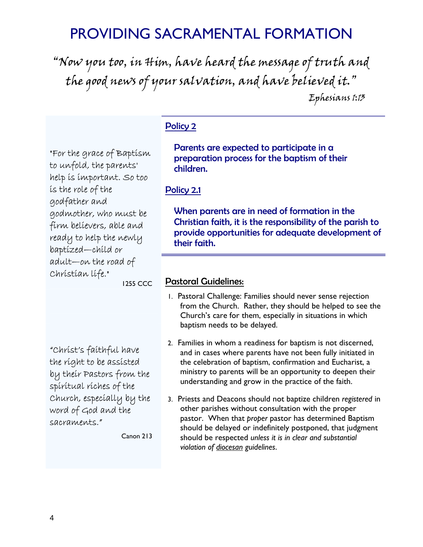### PROVIDING SACRAMENTAL FORMATION

"Now you too, in Him, have heard the message of truth and the good news of your salvation, and have believed it." Ephesians 1:13

#### Policy 2

"For the grace of Baptism to unfold, the parents' help is important. So too is the role of the godfather and godmother, who must be firm believers, able and ready to help the newly baptized—child or adult—on the road of Christian life."

1255 CCC

"Christ's faithful have the right to be assisted by their Pastors from the spiritual riches of the Church, especially by the word of God and the sacraments."

Canon 213

Parents are expected to participate in a preparation process for the baptism of their children.

#### Policy 2.1

When parents are in need of formation in the Christian faith, it is the responsibility of the parish to provide opportunities for adequate development of their faith.

#### Pastoral Guidelines:

- 1. Pastoral Challenge: Families should never sense rejection from the Church. Rather, they should be helped to see the Church's care for them, especially in situations in which baptism needs to be delayed.
- 2. Families in whom a readiness for baptism is not discerned, and in cases where parents have not been fully initiated in the celebration of baptism, confirmation and Eucharist, a ministry to parents will be an opportunity to deepen their understanding and grow in the practice of the faith.
- 3. Priests and Deacons should not baptize children *registered* in other parishes without consultation with the proper pastor. When that *proper* pastor has determined Baptism should be delayed or indefinitely postponed, that judgment should be respected *unless it is in clear and substantial violation of diocesan guidelines*.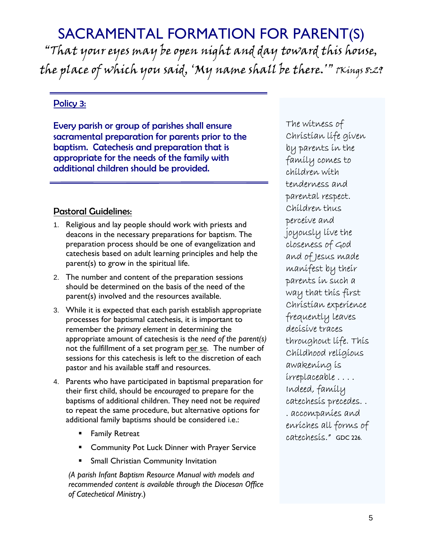### SACRAMENTAL FORMATION FOR PARENT(S)

"That your eyes may be open night and day toward this house, the place of which you said, 'My name shall be there.'" 1Kings 8:29

#### Policy 3:

Every parish or group of parishes shall ensure sacramental preparation for parents prior to the baptism. Catechesis and preparation that is appropriate for the needs of the family with additional children should be provided.

#### Pastoral Guidelines:

- 1. Religious and lay people should work with priests and deacons in the necessary preparations for baptism. The preparation process should be one of evangelization and catechesis based on adult learning principles and help the parent(s) to grow in the spiritual life.
- 2. The number and content of the preparation sessions should be determined on the basis of the need of the parent(s) involved and the resources available.
- 3. While it is expected that each parish establish appropriate processes for baptismal catechesis, it is important to remember the *primary element* in determining the appropriate amount of catechesis is the *need of the parent(s)* not the fulfillment of a set program per se. The number of sessions for this catechesis is left to the discretion of each pastor and his available staff and resources.
- 4. Parents who have participated in baptismal preparation for their first child, should be *encouraged* to prepare for the baptisms of additional children. They need not be *required* to repeat the same procedure, but alternative options for additional family baptisms should be considered i.e.:
	- Family Retreat
	- Community Pot Luck Dinner with Prayer Service
	- Small Christian Community Invitation

*(A parish Infant Baptism Resource Manual with models and recommended content is available through the Diocesan Office of Catechetical Ministry*.)

The witness of Christian life given by parents in the family comes to children with tenderness and parental respect. Children thus perceive and joyously live the closeness of God and of Jesus made manifest by their parents in such a way that this first Christian experience frequently leaves decisive traces throughout life. This Childhood religious awakening is irreplaceable . . . . Indeed, family catechesis precedes. . . accompanies and enriches all forms of catechesis." GDC 226.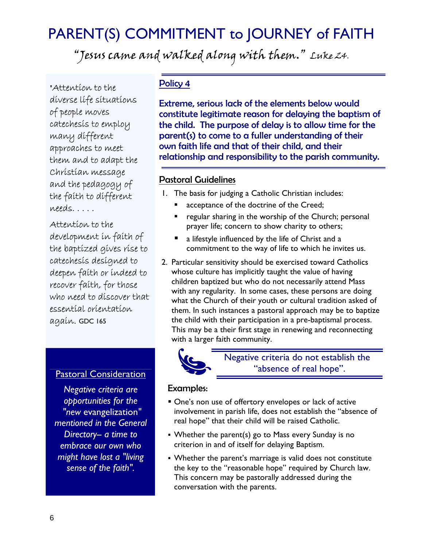### PARENT(S) COMMITMENT to JOURNEY of FAITH

"Jesus came and walked along with them." Luke 24.

"Attention to the diverse life situations of people moves catechesis to employ many different approaches to meet them and to adapt the Christian message and the pedagogy of the faith to different needs. . . . .

Attention to the development in faith of the baptized gives rise to catechesis designed to deepen faith or indeed to recover faith, for those who need to discover that essential orientation again. GDC 165

#### Pastoral Consideration

*Negative criteria are opportunities for the "new* evangelization*" mentioned in the General Directory-- a time to embrace our own who might have lost a "living sense of the faith".*

#### Policy 4

Extreme, serious lack of the elements below would constitute legitimate reason for delaying the baptism of the child. The purpose of delay is to allow time for the parent(s) to come to a fuller understanding of their own faith life and that of their child, and their relationship and responsibility to the parish community.

#### Pastoral Guidelines

1. The basis for judging a Catholic Christian includes:

- acceptance of the doctrine of the Creed;
- regular sharing in the worship of the Church; personal prayer life; concern to show charity to others;
- a lifestyle influenced by the life of Christ and a commitment to the way of life to which he invites us.
- 2. Particular sensitivity should be exercised toward Catholics whose culture has implicitly taught the value of having children baptized but who do not necessarily attend Mass with any regularity. In some cases, these persons are doing what the Church of their youth or cultural tradition asked of them. In such instances a pastoral approach may be to baptize the child with their participation in a pre-baptismal process. This may be a their first stage in renewing and reconnecting with a larger faith community.



Negative criteria do not establish the "absence of real hope".

#### Examples:

- One's non use of offertory envelopes or lack of active involvement in parish life, does not establish the "absence of real hope" that their child will be raised Catholic.
- Whether the parent(s) go to Mass every Sunday is no criterion in and of itself for delaying Baptism.
- Whether the parent's marriage is valid does not constitute the key to the "reasonable hope" required by Church law. This concern may be pastorally addressed during the conversation with the parents.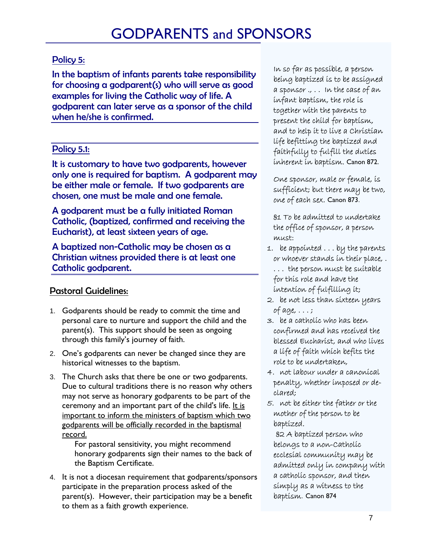### Policy 5:

In the baptism of infants parents take responsibility for choosing a godparent(s) who will serve as good examples for living the Catholic way of life. A godparent can later serve as a sponsor of the child when he/she is confirmed.

### Policy 5.1:

It is customary to have two godparents, however only one is required for baptism. A godparent may be either male or female. If two godparents are chosen, one must be male and one female.

A godparent must be a fully initiated Roman Catholic, (baptized, confirmed and receiving the Eucharist), at least sixteen years of age.

A baptized non-Catholic may be chosen as a Christian witness provided there is at least one Catholic godparent.

### Pastoral Guidelines:

- 1. Godparents should be ready to commit the time and personal care to nurture and support the child and the parent(s). This support should be seen as ongoing through this family's journey of faith.
- 2. One's godparents can never be changed since they are historical witnesses to the baptism.
- 3. The Church asks that there be one or two godparents. Due to cultural traditions there is no reason why others may not serve as honorary godparents to be part of the ceremony and an important part of the child's life. It is important to inform the ministers of baptism which two godparents will be officially recorded in the baptismal record.

For pastoral sensitivity, you might recommend honorary godparents sign their names to the back of the Baptism Certificate.

4. It is not a diocesan requirement that godparents/sponsors participate in the preparation process asked of the parent(s). However, their participation may be a benefit to them as a faith growth experience.

In so far as possible, a person being baptized is to be assigned a sponsor ., . . In the case of an infant baptism, the role is together with the parents to present the child for baptism, and to help it to live a Christian life befitting the baptized and faithfully to fulfill the duties inherent in baptism. Canon 872.

One sponsor, male or female, is sufficient; but there may be two, one of each sex. Canon 873.

§1 To be admitted to undertake the office of sponsor, a person must:

- 1. be appointed . . . by the parents or whoever stands in their place, . . . . the person must be suitable for this role and have the intention of fulfilling it;
- 2. be not less than sixteen years of age, . . . ;
- 3. be a catholic who has been confirmed and has received the blessed Eucharist, and who lives a life of faith which befits the role to be undertaken,
- 4. not labour under a canonical penalty, whether imposed or declared;
- 5. not be either the father or the mother of the person to be baptized.

§2 A baptized person who belongs to a non-Catholic ecclesial community may be admitted only in company with a catholic sponsor, and then simply as a witness to the baptism. Canon 874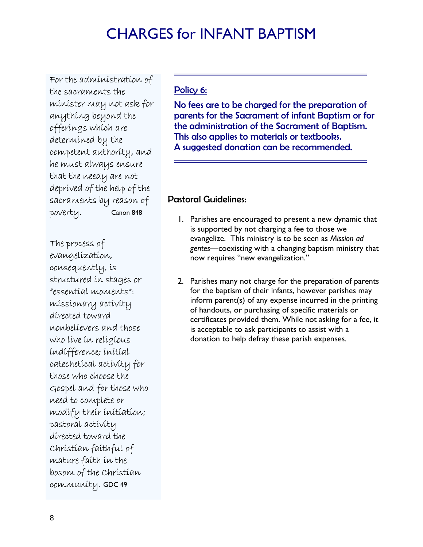### CHARGES for INFANT BAPTISM

For the administration of the sacraments the minister may not ask for anything beyond the offerings which are determined by the competent authority, and he must always ensure that the needy are not deprived of the help of the sacraments by reason of poverty. Canon 848

The process of evangelization, consequently, is structured in stages or "essential moments": missionary activity directed toward nonbelievers and those who live in religious indifference; initial catechetical activity for those who choose the Gospel and for those who need to complete or modify their initiation; pastoral activity directed toward the Christian faithful of mature faith in the bosom of the Christian community. GDC 49

#### Policy 6:

No fees are to be charged for the preparation of parents for the Sacrament of infant Baptism or for the administration of the Sacrament of Baptism. This also applies to materials or textbooks. A suggested donation can be recommended.

#### Pastoral Guidelines:

- 1. Parishes are encouraged to present a new dynamic that is supported by not charging a fee to those we evangelize. This ministry is to be seen as *Mission ad gentes*—coexisting with a changing baptism ministry that now requires "new evangelization."
- 2. Parishes many not charge for the preparation of parents for the baptism of their infants, however parishes may inform parent(s) of any expense incurred in the printing of handouts, or purchasing of specific materials or certificates provided them. While not asking for a fee, it is acceptable to ask participants to assist with a donation to help defray these parish expenses.